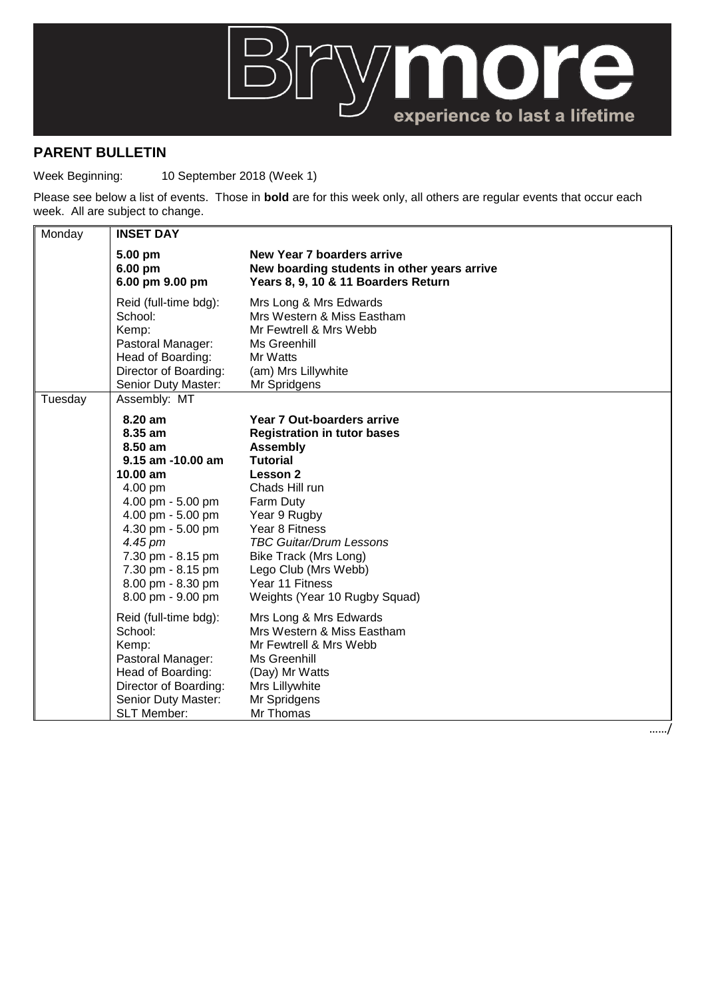

## **PARENT BULLETIN**

Week Beginning: 10 September 2018 (Week 1)

Please see below a list of events. Those in **bold** are for this week only, all others are regular events that occur each week. All are subject to change.

| Monday  | <b>INSET DAY</b>                                                                                                                                                                                                                        |                                                                                                                                                                                                                                                                                                                                   |  |
|---------|-----------------------------------------------------------------------------------------------------------------------------------------------------------------------------------------------------------------------------------------|-----------------------------------------------------------------------------------------------------------------------------------------------------------------------------------------------------------------------------------------------------------------------------------------------------------------------------------|--|
|         | 5.00 pm<br>6.00 pm<br>6.00 pm 9.00 pm                                                                                                                                                                                                   | New Year 7 boarders arrive<br>New boarding students in other years arrive<br>Years 8, 9, 10 & 11 Boarders Return                                                                                                                                                                                                                  |  |
|         | Reid (full-time bdg):<br>School:<br>Kemp:<br>Pastoral Manager:<br>Head of Boarding:<br>Director of Boarding:<br>Senior Duty Master:                                                                                                     | Mrs Long & Mrs Edwards<br>Mrs Western & Miss Eastham<br>Mr Fewtrell & Mrs Webb<br>Ms Greenhill<br>Mr Watts<br>(am) Mrs Lillywhite<br>Mr Spridgens                                                                                                                                                                                 |  |
| Tuesday | Assembly: MT                                                                                                                                                                                                                            |                                                                                                                                                                                                                                                                                                                                   |  |
|         | 8.20 am<br>8.35 am<br>8.50 am<br>9.15 am -10.00 am<br>10.00 am<br>4.00 pm<br>4.00 pm - 5.00 pm<br>4.00 pm - 5.00 pm<br>4.30 pm - 5.00 pm<br>4.45 pm<br>7.30 pm - 8.15 pm<br>7.30 pm - 8.15 pm<br>8.00 pm - 8.30 pm<br>8.00 pm - 9.00 pm | Year 7 Out-boarders arrive<br><b>Registration in tutor bases</b><br><b>Assembly</b><br><b>Tutorial</b><br><b>Lesson 2</b><br>Chads Hill run<br>Farm Duty<br>Year 9 Rugby<br>Year 8 Fitness<br><b>TBC Guitar/Drum Lessons</b><br>Bike Track (Mrs Long)<br>Lego Club (Mrs Webb)<br>Year 11 Fitness<br>Weights (Year 10 Rugby Squad) |  |
|         | Reid (full-time bdg):<br>School:<br>Kemp:<br>Pastoral Manager:<br>Head of Boarding:<br>Director of Boarding:<br>Senior Duty Master:<br><b>SLT Member:</b>                                                                               | Mrs Long & Mrs Edwards<br>Mrs Western & Miss Eastham<br>Mr Fewtrell & Mrs Webb<br>Ms Greenhill<br>(Day) Mr Watts<br>Mrs Lillywhite<br>Mr Spridgens<br>Mr Thomas                                                                                                                                                                   |  |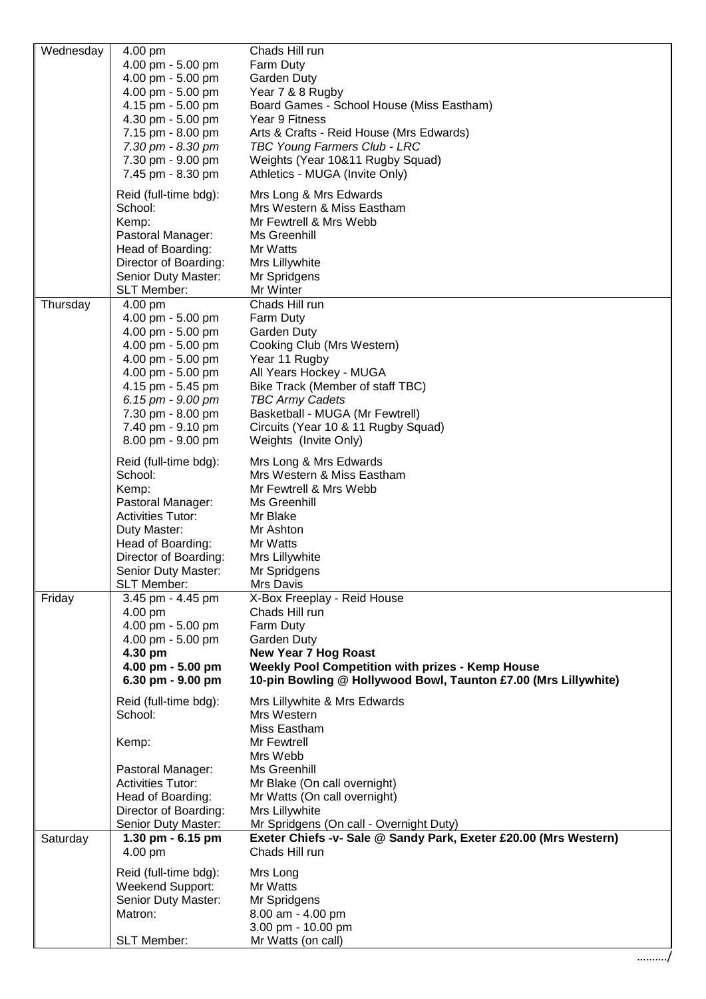| Wednesday | 4.00 pm                                | Chads Hill run                                                   |
|-----------|----------------------------------------|------------------------------------------------------------------|
|           | 4.00 pm - 5.00 pm                      | Farm Duty                                                        |
|           | 4.00 pm - 5.00 pm                      | Garden Duty                                                      |
|           | 4.00 pm - 5.00 pm                      | Year 7 & 8 Rugby                                                 |
|           | 4.15 pm - 5.00 pm                      | Board Games - School House (Miss Eastham)                        |
|           | 4.30 pm - 5.00 pm                      | Year 9 Fitness                                                   |
|           | 7.15 pm - 8.00 pm                      | Arts & Crafts - Reid House (Mrs Edwards)                         |
|           | 7.30 pm - 8.30 pm                      | TBC Young Farmers Club - LRC                                     |
|           | 7.30 pm - 9.00 pm                      | Weights (Year 10&11 Rugby Squad)                                 |
|           | 7.45 pm - 8.30 pm                      | Athletics - MUGA (Invite Only)                                   |
|           | Reid (full-time bdg):                  | Mrs Long & Mrs Edwards                                           |
|           | School:                                | Mrs Western & Miss Eastham                                       |
|           | Kemp:                                  | Mr Fewtrell & Mrs Webb                                           |
|           | Pastoral Manager:                      | Ms Greenhill                                                     |
|           | Head of Boarding:                      | Mr Watts                                                         |
|           | Director of Boarding:                  | Mrs Lillywhite                                                   |
|           | Senior Duty Master:                    | Mr Spridgens                                                     |
|           | <b>SLT Member:</b>                     | Mr Winter                                                        |
| Thursday  | 4.00 pm                                | Chads Hill run                                                   |
|           | 4.00 pm - 5.00 pm<br>4.00 pm - 5.00 pm | Farm Duty                                                        |
|           | 4.00 pm - 5.00 pm                      | Garden Duty<br>Cooking Club (Mrs Western)                        |
|           | 4.00 pm - 5.00 pm                      | Year 11 Rugby                                                    |
|           | 4.00 pm - 5.00 pm                      | All Years Hockey - MUGA                                          |
|           | 4.15 pm - 5.45 pm                      | Bike Track (Member of staff TBC)                                 |
|           | 6.15 pm - 9.00 pm                      | <b>TBC Army Cadets</b>                                           |
|           | 7.30 pm - 8.00 pm                      | Basketball - MUGA (Mr Fewtrell)                                  |
|           | 7.40 pm - 9.10 pm                      | Circuits (Year 10 & 11 Rugby Squad)                              |
|           | 8.00 pm - 9.00 pm                      | Weights (Invite Only)                                            |
|           |                                        |                                                                  |
|           | Reid (full-time bdg):                  | Mrs Long & Mrs Edwards                                           |
|           | School:                                | Mrs Western & Miss Eastham                                       |
|           | Kemp:<br>Pastoral Manager:             | Mr Fewtrell & Mrs Webb                                           |
|           | <b>Activities Tutor:</b>               | Ms Greenhill<br>Mr Blake                                         |
|           | Duty Master:                           | Mr Ashton                                                        |
|           | Head of Boarding:                      | Mr Watts                                                         |
|           | Director of Boarding:                  | Mrs Lillywhite                                                   |
|           | Senior Duty Master:                    | Mr Spridgens                                                     |
|           | SLT Member:                            | Mrs Davis                                                        |
| Friday    | 3.45 pm - 4.45 pm                      | X-Box Freeplay - Reid House                                      |
|           | 4.00 pm                                | Chads Hill run                                                   |
|           | 4.00 pm - 5.00 pm                      | Farm Duty                                                        |
|           | 4.00 pm - 5.00 pm                      | Garden Duty                                                      |
|           | 4.30 pm                                | <b>New Year 7 Hog Roast</b>                                      |
|           | 4.00 pm - 5.00 pm                      | <b>Weekly Pool Competition with prizes - Kemp House</b>          |
|           | 6.30 pm - 9.00 pm                      | 10-pin Bowling @ Hollywood Bowl, Taunton £7.00 (Mrs Lillywhite)  |
|           | Reid (full-time bdg):                  | Mrs Lillywhite & Mrs Edwards                                     |
|           | School:                                | Mrs Western                                                      |
|           |                                        | Miss Eastham                                                     |
|           | Kemp:                                  | Mr Fewtrell                                                      |
|           |                                        | Mrs Webb                                                         |
|           | Pastoral Manager:                      | Ms Greenhill                                                     |
|           | <b>Activities Tutor:</b>               | Mr Blake (On call overnight)                                     |
|           | Head of Boarding:                      | Mr Watts (On call overnight)                                     |
|           | Director of Boarding:                  | Mrs Lillywhite                                                   |
|           | Senior Duty Master:                    | Mr Spridgens (On call - Overnight Duty)                          |
| Saturday  | 1.30 pm - 6.15 pm                      | Exeter Chiefs -v- Sale @ Sandy Park, Exeter £20.00 (Mrs Western) |
|           | 4.00 pm                                | Chads Hill run                                                   |
|           | Reid (full-time bdg):                  | Mrs Long                                                         |
|           | Weekend Support:                       | Mr Watts                                                         |
|           | Senior Duty Master:                    | Mr Spridgens                                                     |
|           | Matron:                                | 8.00 am - 4.00 pm                                                |
|           |                                        | 3.00 pm - 10.00 pm                                               |
|           | SLT Member:                            | Mr Watts (on call)                                               |